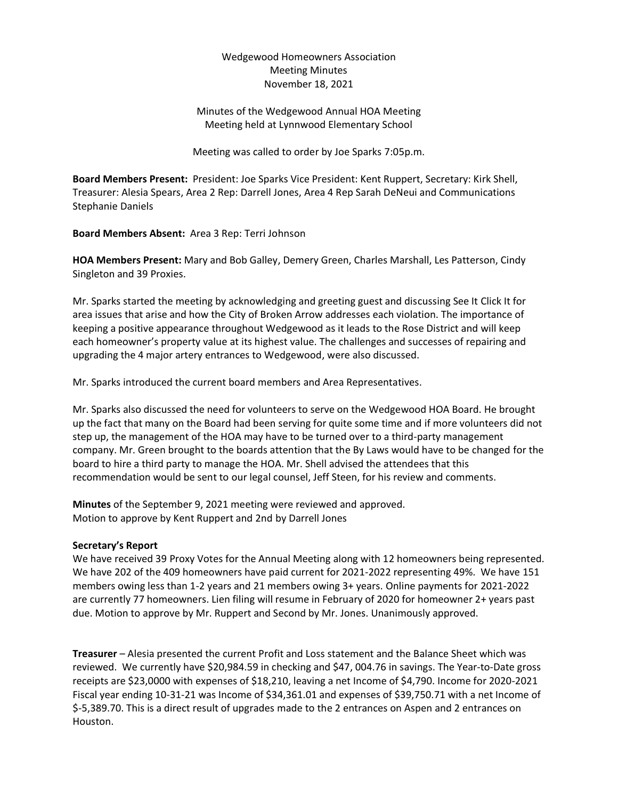## Wedgewood Homeowners Association Meeting Minutes November 18, 2021

# Minutes of the Wedgewood Annual HOA Meeting Meeting held at Lynnwood Elementary School

Meeting was called to order by Joe Sparks 7:05p.m.

**Board Members Present:** President: Joe Sparks Vice President: Kent Ruppert, Secretary: Kirk Shell, Treasurer: Alesia Spears, Area 2 Rep: Darrell Jones, Area 4 Rep Sarah DeNeui and Communications Stephanie Daniels

**Board Members Absent:** Area 3 Rep: Terri Johnson

**HOA Members Present:** Mary and Bob Galley, Demery Green, Charles Marshall, Les Patterson, Cindy Singleton and 39 Proxies.

Mr. Sparks started the meeting by acknowledging and greeting guest and discussing See It Click It for area issues that arise and how the City of Broken Arrow addresses each violation. The importance of keeping a positive appearance throughout Wedgewood as it leads to the Rose District and will keep each homeowner's property value at its highest value. The challenges and successes of repairing and upgrading the 4 major artery entrances to Wedgewood, were also discussed.

Mr. Sparks introduced the current board members and Area Representatives.

Mr. Sparks also discussed the need for volunteers to serve on the Wedgewood HOA Board. He brought up the fact that many on the Board had been serving for quite some time and if more volunteers did not step up, the management of the HOA may have to be turned over to a third-party management company. Mr. Green brought to the boards attention that the By Laws would have to be changed for the board to hire a third party to manage the HOA. Mr. Shell advised the attendees that this recommendation would be sent to our legal counsel, Jeff Steen, for his review and comments.

**Minutes** of the September 9, 2021 meeting were reviewed and approved. Motion to approve by Kent Ruppert and 2nd by Darrell Jones

### **Secretary's Report**

We have received 39 Proxy Votes for the Annual Meeting along with 12 homeowners being represented. We have 202 of the 409 homeowners have paid current for 2021-2022 representing 49%. We have 151 members owing less than 1-2 years and 21 members owing 3+ years. Online payments for 2021-2022 are currently 77 homeowners. Lien filing will resume in February of 2020 for homeowner 2+ years past due. Motion to approve by Mr. Ruppert and Second by Mr. Jones. Unanimously approved.

**Treasurer** – Alesia presented the current Profit and Loss statement and the Balance Sheet which was reviewed. We currently have \$20,984.59 in checking and \$47, 004.76 in savings. The Year-to-Date gross receipts are \$23,0000 with expenses of \$18,210, leaving a net Income of \$4,790. Income for 2020-2021 Fiscal year ending 10-31-21 was Income of \$34,361.01 and expenses of \$39,750.71 with a net Income of \$-5,389.70. This is a direct result of upgrades made to the 2 entrances on Aspen and 2 entrances on Houston.